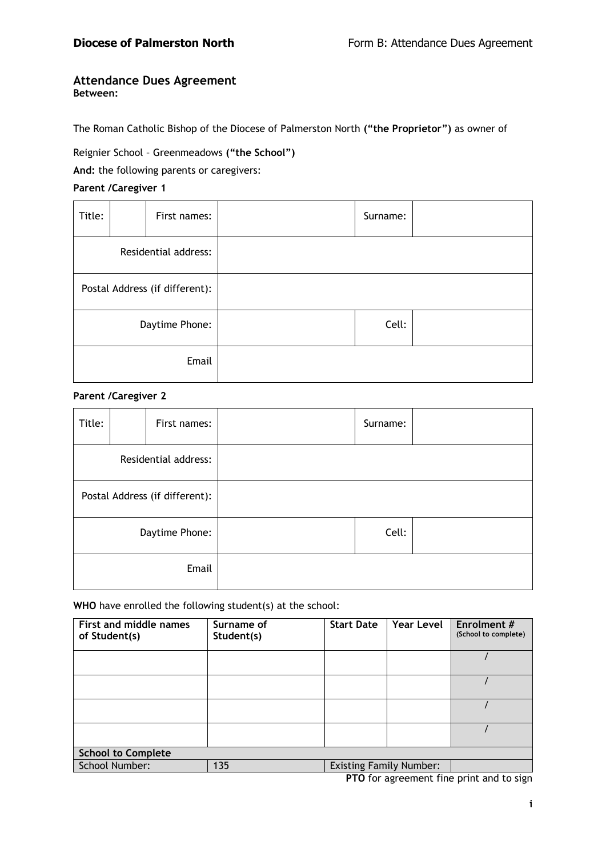### **Attendance Dues Agreement Between:**

The Roman Catholic Bishop of the Diocese of Palmerston North **("the Proprietor")** as owner of

Reignier School – Greenmeadows **("the School")**

**And:** the following parents or caregivers:

# **Parent /Caregiver 1**

| Title:         |  | First names:                   | Surname: |  |
|----------------|--|--------------------------------|----------|--|
|                |  | Residential address:           |          |  |
|                |  | Postal Address (if different): |          |  |
| Daytime Phone: |  |                                | Cell:    |  |
| Email          |  |                                |          |  |

# **Parent /Caregiver 2**

| Title:         |  | First names:                   | Surname: |  |
|----------------|--|--------------------------------|----------|--|
|                |  | Residential address:           |          |  |
|                |  | Postal Address (if different): |          |  |
| Daytime Phone: |  |                                | Cell:    |  |
| Email          |  |                                |          |  |

**WHO** have enrolled the following student(s) at the school:

| First and middle names<br>of Student(s) | Surname of<br>Student(s) | <b>Start Date</b>              | Year Level | Enrolment #<br>(School to complete) |
|-----------------------------------------|--------------------------|--------------------------------|------------|-------------------------------------|
|                                         |                          |                                |            |                                     |
|                                         |                          |                                |            |                                     |
|                                         |                          |                                |            |                                     |
|                                         |                          |                                |            |                                     |
| <b>School to Complete</b>               |                          |                                |            |                                     |
| School Number:                          | 135                      | <b>Existing Family Number:</b> |            |                                     |

**PTO** for agreement fine print and to sign